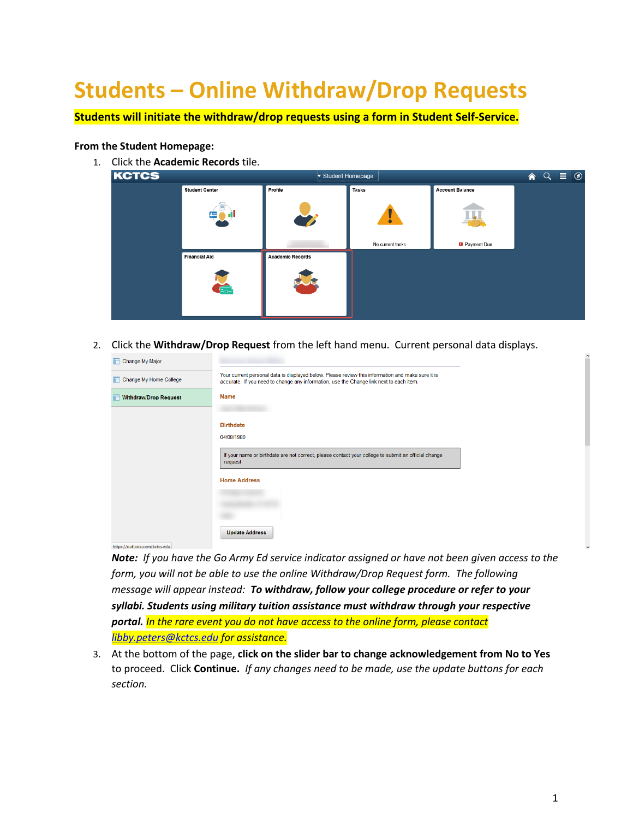## **Students – Online Withdraw/Drop Requests**

**Students will initiate the withdraw/drop requests using a form in Student Self-Service.**

## **From the Student Homepage:**

1. Click the **Academic Records** tile.



2. Click the **Withdraw/Drop Request** from the left hand menu. Current personal data displays.

| Change My Major        |                                                                                                                                                                                              |
|------------------------|----------------------------------------------------------------------------------------------------------------------------------------------------------------------------------------------|
| Change My Home College | Your current personal data is displayed below. Please review this information and make sure it is<br>accurate. If you need to change any information, use the Change link next to each item. |
| Withdraw/Drop Request  | <b>Name</b>                                                                                                                                                                                  |
|                        |                                                                                                                                                                                              |
|                        | <b>Birthdate</b>                                                                                                                                                                             |
|                        | 04/08/1980                                                                                                                                                                                   |
|                        | If your name or birthdate are not correct, please contact your college to submit an official change<br>request.                                                                              |
|                        | <b>Home Address</b>                                                                                                                                                                          |
|                        |                                                                                                                                                                                              |
|                        |                                                                                                                                                                                              |
|                        | <b>Update Address</b>                                                                                                                                                                        |

https://outlook.com/kctcs.edu

*Note: If you have the Go Army Ed service indicator assigned or have not been given access to the form, you will not be able to use the online Withdraw/Drop Request form. The following message will appear instead: To withdraw, follow your college procedure or refer to your syllabi. Students using military tuition assistance must withdraw through your respective portal. In the rare event you do not have access to the online form, please contact [libby.peters@kctcs.edu](mailto:libby.peters@kctcs.edu) for assistance.*

3. At the bottom of the page, **click on the slider bar to change acknowledgement from No to Yes** to proceed. Click **Continue.** *If any changes need to be made, use the update buttons for each section.*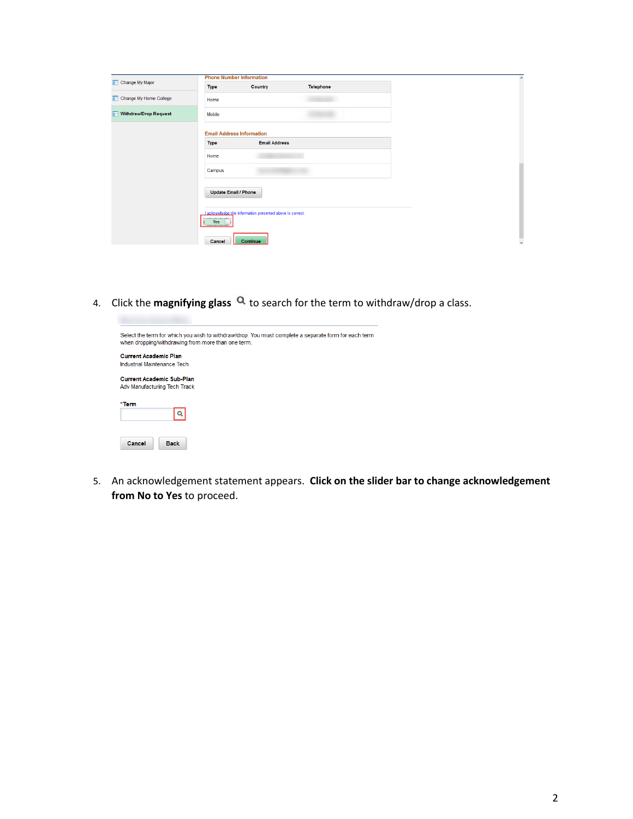|                                   | <b>Phone Number Information</b>  |                                                           |           |  |
|-----------------------------------|----------------------------------|-----------------------------------------------------------|-----------|--|
| Change My Major                   | <b>Type</b>                      | <b>Country</b>                                            | Telephone |  |
| Change My Home College            | Home                             |                                                           |           |  |
| <b>Withdraw/Drop Request</b><br>r | Mobile                           |                                                           |           |  |
|                                   | <b>Email Address Information</b> |                                                           |           |  |
|                                   | <b>Type</b>                      | <b>Email Address</b>                                      |           |  |
|                                   | Home                             |                                                           |           |  |
|                                   | Campus                           |                                                           |           |  |
|                                   | <b>Update Email / Phone</b>      |                                                           |           |  |
|                                   | Yes<br>$\sim$                    | I acknowledge the information presented above is correct. |           |  |
|                                   | Cancel                           | Continue                                                  |           |  |

4. Click the **magnifying glass Q** to search for the term to withdraw/drop a class.

| Select the term for which you wish to withdraw/drop. You must complete a separate form for each term<br>when dropping/withdrawing from more than one term. |
|------------------------------------------------------------------------------------------------------------------------------------------------------------|
| <b>Current Academic Plan</b>                                                                                                                               |
| Industrial Maintenance Tech                                                                                                                                |
| <b>Current Academic Sub-Plan</b><br>Adv Manufacturing Tech Track                                                                                           |
| *Term<br>Q                                                                                                                                                 |
| Cancel<br><b>Back</b>                                                                                                                                      |

5. An acknowledgement statement appears. **Click on the slider bar to change acknowledgement from No to Yes** to proceed.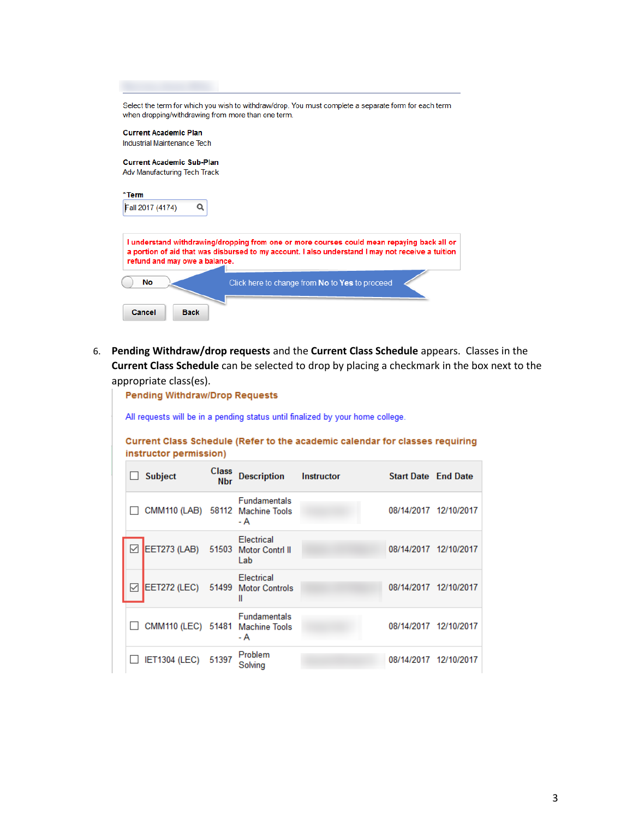| when dropping/withdrawing from more than one term. | Select the term for which you wish to withdraw/drop. You must complete a separate form for each term                                                                                           |
|----------------------------------------------------|------------------------------------------------------------------------------------------------------------------------------------------------------------------------------------------------|
| <b>Current Academic Plan</b>                       |                                                                                                                                                                                                |
| Industrial Maintenance Tech                        |                                                                                                                                                                                                |
|                                                    |                                                                                                                                                                                                |
| <b>Current Academic Sub-Plan</b>                   |                                                                                                                                                                                                |
| Adv Manufacturing Tech Track                       |                                                                                                                                                                                                |
|                                                    |                                                                                                                                                                                                |
| *Term                                              |                                                                                                                                                                                                |
| Fall 2017 (4174)<br>Q                              |                                                                                                                                                                                                |
|                                                    |                                                                                                                                                                                                |
| refund and may owe a balance.                      | I understand withdrawing/dropping from one or more courses could mean repaying back all or<br>a portion of aid that was disbursed to my account. I also understand I may not receive a tuition |
| No                                                 | Click here to change from No to Yes to proceed                                                                                                                                                 |
|                                                    |                                                                                                                                                                                                |
|                                                    |                                                                                                                                                                                                |

6. **Pending Withdraw/drop requests** and the **Current Class Schedule** appears. Classes in the **Current Class Schedule** can be selected to drop by placing a checkmark in the box next to the appropriate class(es).

| <b>Pending Withdraw/Drop Requests</b>                                          |                                                                                                        |                            |                            |            |                            |                       |
|--------------------------------------------------------------------------------|--------------------------------------------------------------------------------------------------------|----------------------------|----------------------------|------------|----------------------------|-----------------------|
| All requests will be in a pending status until finalized by your home college. |                                                                                                        |                            |                            |            |                            |                       |
|                                                                                | Current Class Schedule (Refer to the academic calendar for classes requiring<br>instructor permission) |                            |                            |            |                            |                       |
|                                                                                | <b>Subject</b>                                                                                         | <b>Class</b><br><b>Nbr</b> | <b>Description</b>         | Instructor | <b>Start Date End Date</b> |                       |
|                                                                                | CMM110 (LAB) 58112 Machine Tools                                                                       |                            | <b>Fundamentals</b><br>- A |            |                            | 08/14/2017 12/10/2017 |
|                                                                                | EET273 (LAB) 51503 Motor Contrl II                                                                     |                            | <b>Flectrical</b><br>Lab   |            |                            | 08/14/2017 12/10/2017 |
| ✓                                                                              | EET272 (LEC) 51499 Motor Controls                                                                      |                            | Electrical<br>Ш            |            |                            | 08/14/2017 12/10/2017 |
|                                                                                | CMM110 (LEC) 51481 Machine Tools                                                                       |                            | <b>Fundamentals</b><br>- A |            |                            | 08/14/2017 12/10/2017 |
|                                                                                | <b>IET1304 (LEC)</b>                                                                                   | 51397                      | Problem<br>Solving         |            |                            | 08/14/2017 12/10/2017 |

3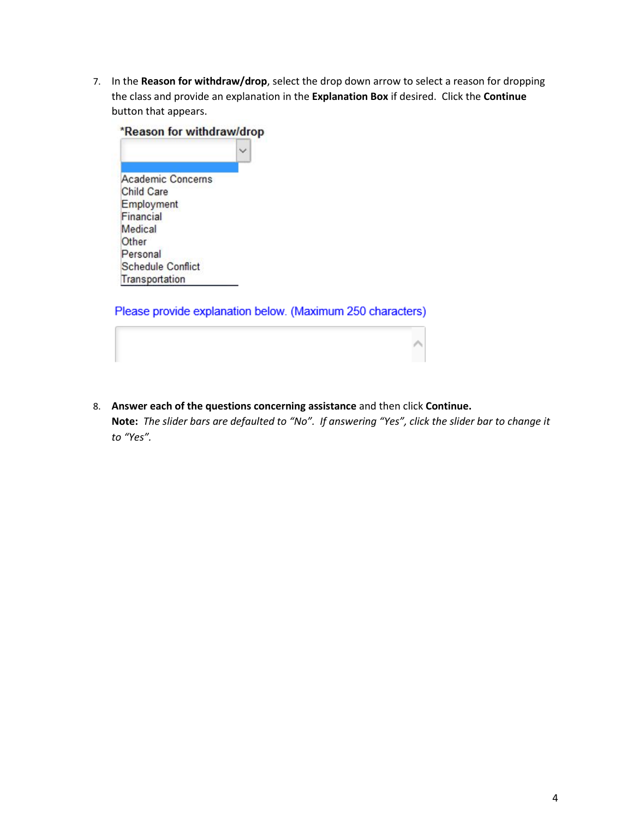7. In the **Reason for withdraw/drop**, select the drop down arrow to select a reason for dropping the class and provide an explanation in the **Explanation Box** if desired. Click the **Continue**  button that appears.



Please provide explanation below. (Maximum 250 characters)

8. **Answer each of the questions concerning assistance** and then click **Continue. Note:** *The slider bars are defaulted to "No". If answering "Yes", click the slider bar to change it to "Yes".*